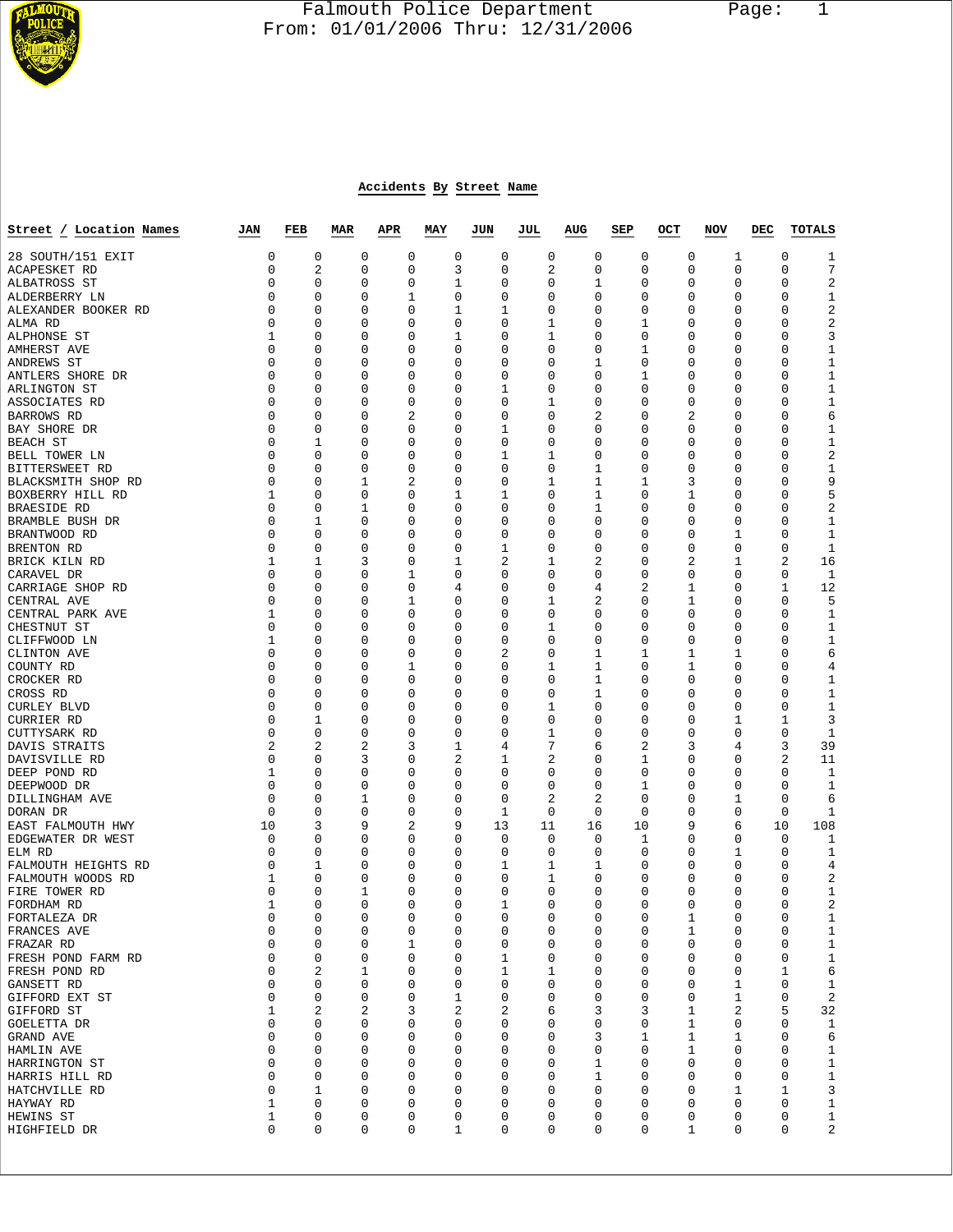

## Falmouth Police Department Page: 1  $\frac{1}{3}$  From: 01/01/2006 Thru: 12/31/2006

## **Accidents By Street Name**

| Street / Location Names         | JAN              | FEB            | <b>MAR</b>  | <b>APR</b> | MAY    | JUN              | JUL    | AUG    | SEP    | OCT    | NOV    | DEC | TOTALS                                 |
|---------------------------------|------------------|----------------|-------------|------------|--------|------------------|--------|--------|--------|--------|--------|-----|----------------------------------------|
| 28 SOUTH/151 EXIT               | 0                | 0              | 0           | 0          | 0      | 0                | 0      | 0      | 0      | 0      | 1      |     | 0<br>1                                 |
| ACAPESKET RD                    | 0                | $\overline{a}$ | 0           | 0          | 3      | $\mathbf 0$      | 2      | 0      | 0      | 0      | 0      |     | $\mathbf 0$<br>7                       |
| ALBATROSS ST                    | 0                | 0              | 0           | 0          | 1      | 0                | 0      | 1      | 0      | 0      | 0      |     | 0<br>2                                 |
| ALDERBERRY LN                   | 0                | 0              | 0           | 1          | 0      | 0                | 0      | 0      | 0      | 0      | 0      |     | 0<br>1                                 |
| ALEXANDER BOOKER RD             | 0                | 0              | 0           | 0          | 1      | 1                | 0      | 0      | 0      | 0      | 0      |     | 2<br>0                                 |
| ALMA RD                         | 0<br>1           | 0<br>0         | 0<br>0      | 0<br>0     | 0<br>1 | $\mathbf 0$<br>0 | 1<br>1 | 0<br>0 | 1<br>0 | 0<br>0 | 0<br>0 |     | 2<br>0<br>3<br>0                       |
| ALPHONSE ST<br>AMHERST AVE      | 0                | 0              | 0           | 0          | 0      | $\mathbf 0$      | 0      | 0      | 1      | 0      | 0      |     | 0<br>1                                 |
| ANDREWS ST                      | 0                | 0              | 0           | 0          | 0      | 0                | 0      | 1      | 0      | 0      | 0      |     | 0<br>1                                 |
| ANTLERS SHORE DR                | 0                | 0              | 0           | 0          | 0      | 0                | 0      | 0      | 1      | 0      | 0      |     | 0<br>1                                 |
| ARLINGTON ST                    | 0                | 0              | 0           | 0          | 0      | 1                | 0      | 0      | 0      | 0      | 0      |     | $\mathbf{1}$<br>0                      |
| ASSOCIATES RD                   | 0                | 0              | 0           | 0          | 0      | 0                | 1      | 0      | 0      | 0      | 0      |     | 0<br>1                                 |
| <b>BARROWS RD</b>               | 0                | 0              | 0           | 2          | 0      | 0                | 0      | 2      | 0      | 2      | 0      |     | 0<br>6                                 |
| BAY SHORE DR                    | 0                | 0              | 0           | 0          | 0      | 1                | 0      | 0      | 0      | 0      | 0      |     | 0<br>1                                 |
| <b>BEACH ST</b>                 | 0                | 1              | 0           | 0          | 0      | 0                | 0      | 0      | 0      | 0      | 0      |     | 0<br>1                                 |
| BELL TOWER LN                   | 0                | 0              | 0           | 0          | 0      | 1                | 1      | 0      | 0      | 0      | 0      |     | $\sqrt{2}$<br>0                        |
| BITTERSWEET RD                  | 0                | 0              | 0           | 0          | 0      | $\mathbf 0$      | 0      | 1      | 0      | 0      | 0      |     | 0<br>1                                 |
| BLACKSMITH SHOP RD              | 0<br>1           | 0<br>0         | 1<br>0      | 2          | 0<br>1 | 0<br>1           | 1<br>0 | 1<br>1 | 1<br>0 | 3      | 0      |     | 0<br>9<br>5<br>0                       |
| BOXBERRY HILL RD<br>BRAESIDE RD | 0                | 0              | 1           | 0<br>0     | 0      | $\mathbf 0$      | 0      | 1      | 0      | 1<br>0 | 0<br>0 |     | 0<br>2                                 |
| BRAMBLE BUSH DR                 | 0                | 1              | 0           | 0          | 0      | $\mathbf 0$      | 0      | 0      | 0      | 0      | 0      |     | 0<br>1                                 |
| BRANTWOOD RD                    | 0                | 0              | 0           | 0          | 0      | 0                | 0      | 0      | 0      | 0      | 1      |     | 0<br>1                                 |
| BRENTON RD                      | 0                | 0              | 0           | 0          | 0      | 1                | 0      | 0      | 0      | 0      | 0      |     | 0<br>1                                 |
| BRICK KILN RD                   | 1                | 1              | 3           | 0          | 1      | 2                | 1      | 2      | 0      | 2      | 1      |     | 16<br>2                                |
| CARAVEL DR                      | 0                | 0              | 0           | 1          | 0      | 0                | 0      | 0      | 0      | 0      | 0      |     | 0<br>1                                 |
| CARRIAGE SHOP RD                | 0                | 0              | 0           | 0          | 4      | $\mathbf 0$      | 0      | 4      | 2      | 1      | 0      |     | 12<br>1                                |
| CENTRAL AVE                     | 0                | 0              | 0           | 1          | 0      | $\mathbf 0$      | 1      | 2      | 0      | 1      | 0      |     | 5<br>0                                 |
| CENTRAL PARK AVE                | 1                | 0              | 0           | 0          | 0      | $\mathbf 0$      | 0      | 0      | 0      | 0      | 0      |     | 0<br>1                                 |
| CHESTNUT ST                     | 0                | 0              | 0           | 0          | 0      | $\mathbf 0$      | 1      | 0      | 0      | 0      | 0      |     | 0<br>1                                 |
| CLIFFWOOD LN<br>CLINTON AVE     | 1<br>0           | 0<br>0         | 0           | 0<br>0     | 0<br>0 | $\mathbf 0$<br>2 | 0<br>0 | 0<br>1 | 0      | 0      | 0<br>1 |     | 0<br>1<br>0                            |
| COUNTY RD                       | 0                | 0              | 0<br>0      | 1          | 0      | $\mathbf 0$      | 1      | 1      | 1<br>0 | 1<br>1 | 0      |     | 6<br>0<br>4                            |
| CROCKER RD                      | 0                | 0              | 0           | 0          | 0      | $\mathbf 0$      | 0      | 1      | 0      | 0      | 0      |     | 0<br>1                                 |
| CROSS RD                        | 0                | 0              | 0           | 0          | 0      | $\mathbf 0$      | 0      | 1      | 0      | 0      | 0      |     | 0<br>1                                 |
| <b>CURLEY BLVD</b>              | 0                | 0              | 0           | 0          | 0      | $\mathbf 0$      | 1      | 0      | 0      | 0      | 0      |     | 0<br>1                                 |
| CURRIER RD                      | 0                | 1              | 0           | 0          | 0      | $\mathbf 0$      | 0      | 0      | 0      | 0      | 1      |     | 1<br>3                                 |
| CUTTYSARK RD                    | 0                | 0              | 0           | 0          | 0      | 0                | 1      | 0      | 0      | 0      | 0      |     | 0<br>1                                 |
| DAVIS STRAITS                   | $\overline{2}$   | $\overline{2}$ | 2           | 3          | 1      | 4                | 7      | 6      | 2      | 3      | 4      |     | 3<br>39                                |
| DAVISVILLE RD                   | 0                | 0              | 3           | 0          | 2      | 1                | 2      | 0      | 1      | 0      | 0      |     | 2<br>11                                |
| DEEP POND RD                    | 1                | 0              | 0           | 0          | 0      | 0                | 0      | 0      | 0      | 0      | 0      |     | 0<br>1                                 |
| DEEPWOOD DR                     | 0<br>$\mathbf 0$ | 0              | 0           | 0<br>0     | 0      | $\mathbf 0$      | 0      | 0      | 1<br>0 | 0      | 0      |     | 0<br>1<br>0                            |
| DILLINGHAM AVE<br>DORAN DR      | 0                | 0<br>0         | 1<br>0      | 0          | 0<br>0 | 0<br>1           | 2<br>0 | 2<br>0 | 0      | 0<br>0 | 1<br>0 |     | 6<br>0<br>1                            |
| EAST FALMOUTH HWY               | 10               | 3              | 9           | 2          | 9      | 13               | 11     | 16     | 10     | 9      | 6      | 10  | 108                                    |
| EDGEWATER DR WEST               | 0                | 0              | 0           | 0          | 0      | 0                | 0      | 0      | 1      | 0      | 0      |     | 0<br>1                                 |
| ELM RD                          | 0                | 0              | 0           | 0          | 0      | 0                | 0      | 0      | 0      | 0      | 1      |     | 0<br>1                                 |
| FALMOUTH HEIGHTS RD             | 0                | 1              | 0           | 0          | 0      | 1                | 1      | 1      | 0      | 0      | 0      |     | 0<br>4                                 |
| FALMOUTH WOODS RD               | 1                | 0              | 0           | 0          | 0      | $\mathbf 0$      | 1      | 0      | 0      | 0      | 0      |     | 0<br>2                                 |
| FIRE TOWER RD                   | 0                | 0              | 1           | 0          | 0      | 0                | 0      | 0      | 0      | 0      | 0      |     | 0<br>1                                 |
| FORDHAM RD                      | 1                | 0              | $\mathbf 0$ | 0          | 0      | 1                | 0      | 0      | 0      | 0      | 0      |     | 2<br>0                                 |
| FORTALEZA DR                    | $\mathbf 0$      | 0              | 0           | 0          | 0      | $\mathbf 0$      | 0      | 0      | 0      | 1      | 0      |     | 0<br>1                                 |
| FRANCES AVE<br>FRAZAR RD        | 0<br>0           | 0<br>0         | 0<br>0      | 0<br>1     | 0<br>0 | 0<br>0           | 0<br>0 | 0<br>0 | 0<br>0 | 1<br>0 | 0<br>0 |     | 0<br>$\mathbf{1}$<br>0<br>$\mathbf{1}$ |
| FRESH POND FARM RD              | 0                | 0              | 0           | 0          | 0      | 1                | 0      | 0      | 0      | 0      | 0      |     | $\mathbf{1}$<br>0                      |
| FRESH POND RD                   | 0                | 2              | 1           | 0          | 0      | 1                | 1      | 0      | 0      | 0      | 0      |     | 6<br>1                                 |
| GANSETT RD                      | 0                | $\mathbf 0$    | 0           | 0          | 0      | 0                | 0      | 0      | 0      | 0      | 1      |     | 0<br>$\mathbf{1}$                      |
| GIFFORD EXT ST                  | 0                | 0              | 0           | 0          | 1      | 0                | 0      | 0      | 0      | 0      | 1      |     | 2<br>0                                 |
| GIFFORD ST                      | 1                | 2              | 2           | 3          | 2      | 2                | 6      | 3      | 3      | 1      | 2      |     | 5<br>32                                |
| GOELETTA DR                     | 0                | 0              | 0           | 0          | 0      | 0                | 0      | 0      | 0      | 1      | 0      |     | 0<br>$\mathbf{1}$                      |
| GRAND AVE                       | 0                | 0              | 0           | 0          | 0      | 0                | 0      | 3      | 1      | 1      | 1      |     | 0<br>6                                 |
| HAMLIN AVE                      | 0                | 0              | 0           | 0          | 0      | 0                | 0      | 0      | 0      | 1      | 0      |     | 0<br>1                                 |
| HARRINGTON ST                   | 0                | 0              | 0           | 0          | 0      | 0                | 0      | 1      | 0      | 0      | 0      |     | $\mathbf{1}$<br>0                      |
| HARRIS HILL RD                  | 0                | 0              | 0           | 0<br>0     | 0      | 0                | 0      | 1      | 0      | 0      | 0      |     | 0<br>$\mathbf{1}$                      |
| HATCHVILLE RD<br>HAYWAY RD      | 0<br>1           | 1<br>0         | 0<br>0      | 0          | 0<br>0 | 0<br>0           | 0<br>0 | 0<br>0 | 0<br>0 | 0<br>0 | 1<br>0 |     | 3<br>1<br>0<br>$\mathbf{1}$            |
| HEWINS ST                       | 1                | 0              | 0           | 0          | 0      | 0                | 0      | 0      | 0      | 0      | 0      |     | 0<br>$\mathbf{1}$                      |
| HIGHFIELD DR                    | 0                | 0              | 0           | 0          | 1      | 0                | 0      | 0      | 0      | 1      | 0      |     | 2<br>0                                 |
|                                 |                  |                |             |            |        |                  |        |        |        |        |        |     |                                        |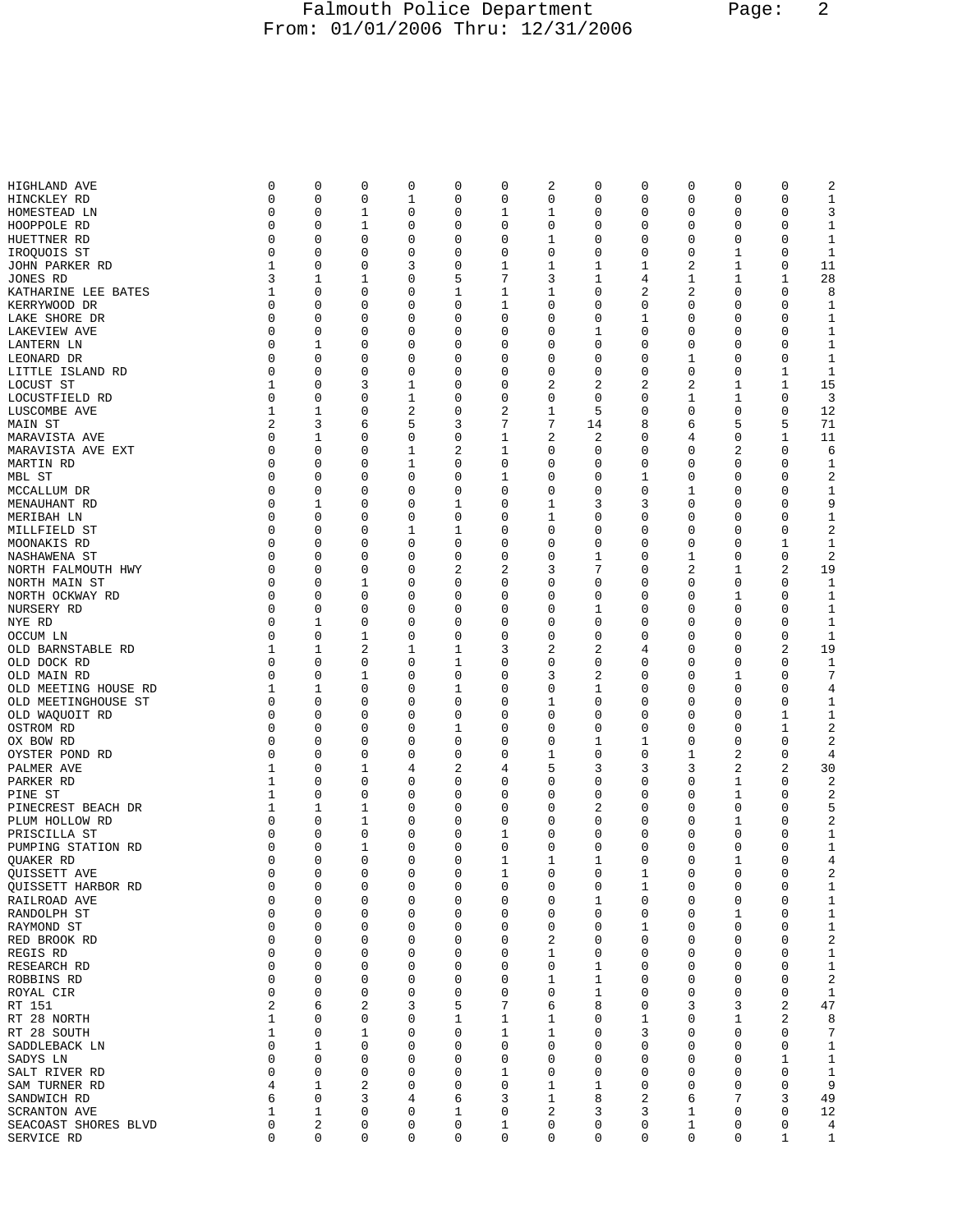## Falmouth Police Department Page: 2 From: 01/01/2006 Thru: 12/31/2006

| HIGHLAND AVE         | 0           | 0           | 0 | 0 | 0 | 0           | 2 | 0  | 0              | 0 | 0 | 0 | 2            |
|----------------------|-------------|-------------|---|---|---|-------------|---|----|----------------|---|---|---|--------------|
| HINCKLEY RD          | 0           | 0           | 0 | 1 | 0 | 0           | 0 | 0  | 0              | 0 | 0 | 0 | 1            |
| HOMESTEAD LN         | 0           | 0           | 1 | 0 | 0 | 1           | 1 | 0  | 0              | 0 | 0 | 0 | 3            |
|                      |             |             |   |   |   |             |   |    |                |   |   |   |              |
| HOOPPOLE RD          | 0           | 0           | 1 | 0 | 0 | 0           | 0 | 0  | 0              | 0 | 0 | 0 | 1            |
| HUETTNER RD          | 0           | 0           | 0 | 0 | 0 | 0           | 1 | 0  | 0              | 0 | 0 | 0 | 1            |
| IROQUOIS ST          | 0           | 0           | 0 | 0 | 0 | $\mathbf 0$ | 0 | 0  | 0              | 0 | 1 | 0 | 1            |
| JOHN PARKER RD       | 1           | 0           | 0 | 3 | 0 | 1           | 1 | 1  | 1              | 2 | 1 | 0 | 11           |
|                      |             |             |   |   |   |             |   |    |                |   |   |   |              |
| JONES RD             | 3           | 1           | 1 | 0 | 5 | 7           | 3 | 1  | 4              | 1 | 1 | 1 | 28           |
| KATHARINE LEE BATES  | 1           | 0           | 0 | 0 | 1 | 1           | 1 | 0  | 2              | 2 | 0 | 0 | 8            |
| KERRYWOOD DR         | 0           | 0           | 0 | 0 | 0 | 1           | 0 | 0  | 0              | 0 | 0 | 0 | 1            |
|                      | 0           | 0           |   |   |   |             | 0 |    |                |   |   | 0 |              |
| LAKE SHORE DR        |             |             | 0 | 0 | 0 | 0           |   | 0  | 1              | 0 | 0 |   | 1            |
| LAKEVIEW AVE         | $\mathbf 0$ | 0           | 0 | 0 | 0 | 0           | 0 | 1  | 0              | 0 | 0 | 0 | $\mathbf{1}$ |
| LANTERN LN           | 0           | 1           | 0 | 0 | 0 | 0           | 0 | 0  | 0              | 0 | 0 | 0 | 1            |
| LEONARD DR           | 0           | 0           | 0 | 0 | 0 | 0           | 0 | 0  | 0              | 1 | 0 | 0 | 1            |
|                      |             |             |   |   |   |             |   |    |                |   |   |   |              |
| LITTLE ISLAND RD     | 0           | 0           | 0 | 0 | 0 | 0           | 0 | 0  | 0              | 0 | 0 | 1 | 1            |
| LOCUST ST            | 1           | 0           | 3 | 1 | 0 | 0           | 2 | 2  | $\overline{2}$ | 2 | 1 | 1 | 15           |
| LOCUSTFIELD RD       | 0           | 0           | 0 | 1 | 0 | 0           | 0 | 0  | 0              | 1 | 1 | 0 | 3            |
| LUSCOMBE AVE         | 1           | 1           | 0 | 2 | 0 | $\sqrt{2}$  | 1 | 5  | 0              | 0 | 0 | 0 | 12           |
|                      |             |             |   |   |   |             |   |    |                |   |   |   |              |
| MAIN ST              | 2           | 3           | 6 | 5 | 3 | 7           | 7 | 14 | 8              | 6 | 5 | 5 | 71           |
| MARAVISTA AVE        | 0           | 1           | 0 | 0 | 0 | 1           | 2 | 2  | 0              | 4 | 0 | 1 | 11           |
| MARAVISTA AVE EXT    | 0           | 0           | 0 | 1 | 2 | 1           | 0 | 0  | 0              | 0 | 2 | 0 | 6            |
| MARTIN RD            | 0           | 0           | 0 | 1 | 0 | 0           | 0 | 0  | 0              | 0 | 0 | 0 | 1            |
|                      |             |             |   |   |   |             |   |    |                |   |   |   |              |
| MBL ST               | 0           | 0           | 0 | 0 | 0 | 1           | 0 | 0  | 1              | 0 | 0 | 0 | $\sqrt{2}$   |
| MCCALLUM DR          | $\mathbf 0$ | 0           | 0 | 0 | 0 | $\mathbf 0$ | 0 | 0  | 0              | 1 | 0 | 0 | $\mathbf{1}$ |
| MENAUHANT RD         | 0           | 1           | 0 | 0 | 1 | 0           | 1 | 3  | 3              | 0 | 0 | 0 | 9            |
|                      |             |             |   |   |   |             |   |    |                |   |   |   |              |
| MERIBAH LN           | 0           | 0           | 0 | 0 | 0 | 0           | 1 | 0  | 0              | 0 | 0 | 0 | 1            |
| MILLFIELD ST         | 0           | 0           | 0 | 1 | 1 | 0           | 0 | 0  | 0              | 0 | 0 | 0 | $\sqrt{2}$   |
| MOONAKIS RD          | 0           | 0           | 0 | 0 | 0 | 0           | 0 | 0  | 0              | 0 | 0 | 1 | 1            |
| NASHAWENA ST         | 0           | 0           | 0 | 0 | 0 | 0           | 0 | 1  | 0              | 1 | 0 | 0 | 2            |
|                      |             |             |   |   |   |             |   |    |                |   |   |   |              |
| NORTH FALMOUTH HWY   | $\Omega$    | 0           | 0 | 0 | 2 | $\sqrt{2}$  | 3 | 7  | 0              | 2 | 1 | 2 | 19           |
| NORTH MAIN ST        | 0           | 0           | 1 | 0 | 0 | 0           | 0 | 0  | 0              | 0 | 0 | 0 | 1            |
| NORTH OCKWAY RD      | 0           | 0           | 0 | 0 | 0 | 0           | 0 | 0  | 0              | 0 | 1 | 0 | 1            |
| NURSERY RD           | 0           | $\mathbf 0$ | 0 | 0 | 0 | 0           | 0 | 1  | 0              | 0 | 0 | 0 | 1            |
| NYE RD               | 0           | 1           | 0 | 0 | 0 | 0           | 0 | 0  | 0              | 0 | 0 | 0 | 1            |
| OCCUM LN             | 0           | 0           | 1 | 0 | 0 | 0           | 0 | 0  | 0              | 0 | 0 | 0 | 1            |
|                      |             |             |   |   |   |             |   |    |                |   |   |   |              |
| OLD BARNSTABLE RD    | 1           | 1           | 2 | 1 | 1 | 3           | 2 | 2  | 4              | 0 | 0 | 2 | 19           |
| OLD DOCK RD          | 0           | 0           | 0 | 0 | 1 | 0           | 0 | 0  | 0              | 0 | 0 | 0 | 1            |
| OLD MAIN RD          | 0           | 0           | 1 | 0 | 0 | 0           | 3 | 2  | 0              | 0 | 1 | 0 | 7            |
| OLD MEETING HOUSE RD | 1           | 1           | 0 | 0 | 1 | 0           | 0 | 1  | 0              | 0 | 0 | 0 | 4            |
| OLD MEETINGHOUSE ST  | 0           | 0           | 0 | 0 | 0 | 0           | 1 | 0  | 0              | 0 | 0 | 0 | 1            |
|                      |             |             |   |   |   |             |   |    |                |   |   |   |              |
| OLD WAQUOIT RD       | 0           | 0           | 0 | 0 | 0 | 0           | 0 | 0  | 0              | 0 | 0 | 1 | 1            |
| OSTROM RD            | 0           | 0           | 0 | 0 | 1 | $\mathbf 0$ | 0 | 0  | 0              | 0 | 0 | 1 | 2            |
| OX BOW RD            | 0           | 0           | 0 | 0 | 0 | 0           | 0 | 1  | 1              | 0 | 0 | 0 | 2            |
| OYSTER POND RD       | 0           | 0           | 0 | 0 | 0 | 0           | 1 | 0  | 0              | 1 | 2 | 0 | 4            |
| PALMER AVE           | 1           | 0           | 1 | 4 | 2 | 4           | 5 | 3  | 3              | 3 | 2 | 2 | 30           |
|                      |             |             |   |   |   |             |   |    |                |   |   |   |              |
| PARKER RD            | 1           | 0           | 0 | 0 | 0 | 0           | 0 | 0  | 0              | 0 | 1 | 0 | 2            |
| PINE ST              | 1           | 0           | 0 | 0 | 0 | 0           | 0 | 0  | 0              | 0 | 1 | 0 | 2            |
| PINECREST BEACH DR   | 1           | 1           | 1 | 0 | 0 | 0           | 0 | 2  | 0              | 0 | 0 | 0 | 5            |
| PLUM HOLLOW RD       | 0           | 0           | 1 | 0 | 0 | 0           | 0 | 0  | 0              | 0 | 1 | 0 | 2            |
|                      |             | 0           |   |   |   |             |   |    | 0              |   |   |   |              |
| PRISCILLA ST         | 0           |             | 0 | 0 | 0 | 1           | 0 | 0  |                | 0 | 0 | 0 | 1            |
| PUMPING STATION RD   | 0           | 0           | 1 | 0 | 0 | 0           | 0 | 0  | 0              | 0 | 0 | 0 | $\mathbf{1}$ |
| QUAKER RD            | 0           | 0           | 0 | 0 | 0 | 1           | 1 | 1  | 0              | 0 | 1 | 0 | 4            |
| QUISSETT AVE         | 0           | 0           | 0 | 0 | 0 | 1           | 0 | 0  | 1              | 0 | 0 | 0 | 2            |
| QUISSETT HARBOR RD   | 0           | 0           | 0 | 0 | 0 | 0           | 0 | 0  | 1              | 0 | 0 | 0 | 1            |
|                      | 0           | 0           | 0 | 0 | 0 | 0           | 0 | 1  | 0              | 0 | 0 | 0 |              |
| RAILROAD AVE         |             |             |   |   |   |             |   |    |                |   |   |   | 1            |
| RANDOLPH ST          | 0           | 0           | 0 | 0 | 0 | 0           | 0 | 0  | 0              | 0 | 1 | 0 | $\mathbf 1$  |
| RAYMOND ST           | $\mathsf 0$ | 0           | 0 | 0 | 0 | 0           | 0 | 0  | 1              | 0 | 0 | 0 | $\mathbf 1$  |
| RED BROOK RD         | 0           | 0           | 0 | 0 | 0 | 0           | 2 | 0  | 0              | 0 | 0 | 0 | $\sqrt{2}$   |
| REGIS RD             | 0           | 0           | 0 | 0 | 0 | 0           | 1 | 0  | 0              | 0 | 0 | 0 | $1\,$        |
|                      |             |             |   |   |   |             |   |    |                |   |   |   |              |
| RESEARCH RD          | $\mathbf 0$ | 0           | 0 | 0 | 0 | $\mathbf 0$ | 0 | 1  | 0              | 0 | 0 | 0 | $1\,$        |
| ROBBINS RD           | 0           | 0           | 0 | 0 | 0 | 0           | 1 | 1  | 0              | 0 | 0 | 0 | $\sqrt{2}$   |
| ROYAL CIR            | 0           | 0           | 0 | 0 | 0 | 0           | 0 | 1  | 0              | 0 | 0 | 0 | $\mathbf{1}$ |
| RT 151               | 2           | 6           | 2 | 3 | 5 | 7           | 6 | 8  | 0              | 3 | 3 | 2 | 47           |
| RT 28 NORTH          | 1           | 0           | 0 | 0 | 1 | 1           | 1 | 0  | 1              | 0 | 1 | 2 | 8            |
|                      |             |             |   |   |   |             |   |    |                |   |   |   |              |
| RT 28 SOUTH          | 1           | 0           | 1 | 0 | 0 | 1           | 1 | 0  | 3              | 0 | 0 | 0 | 7            |
| SADDLEBACK LN        | $\mathbf 0$ | 1           | 0 | 0 | 0 | $\mathbf 0$ | 0 | 0  | 0              | 0 | 0 | 0 | $\mathbf{1}$ |
| SADYS LN             | 0           | 0           | 0 | 0 | 0 | 0           | 0 | 0  | 0              | 0 | 0 | 1 | $\mathbf{1}$ |
| SALT RIVER RD        | 0           | 0           | 0 | 0 | 0 | 1           | 0 | 0  | 0              | 0 | 0 | 0 | 1            |
|                      |             |             |   | 0 | 0 |             |   |    | 0              |   | 0 | 0 |              |
| SAM TURNER RD        | 4           | 1           | 2 |   |   | 0           | 1 | 1  |                | 0 |   |   | 9            |
| SANDWICH RD          | 6           | 0           | 3 | 4 | 6 | 3           | 1 | 8  | 2              | 6 | 7 | 3 | 49           |
| <b>SCRANTON AVE</b>  | 1           | 1           | 0 | 0 | 1 | 0           | 2 | 3  | 3              | 1 | 0 | 0 | 12           |
| SEACOAST SHORES BLVD | $\mathsf 0$ | 2           | 0 | 0 | 0 | 1           | 0 | 0  | 0              | 1 | 0 | 0 | 4            |
| SERVICE RD           | 0           | 0           | 0 | 0 | 0 | 0           | 0 | 0  | 0              | 0 | 0 | 1 | $\mathbf{1}$ |
|                      |             |             |   |   |   |             |   |    |                |   |   |   |              |